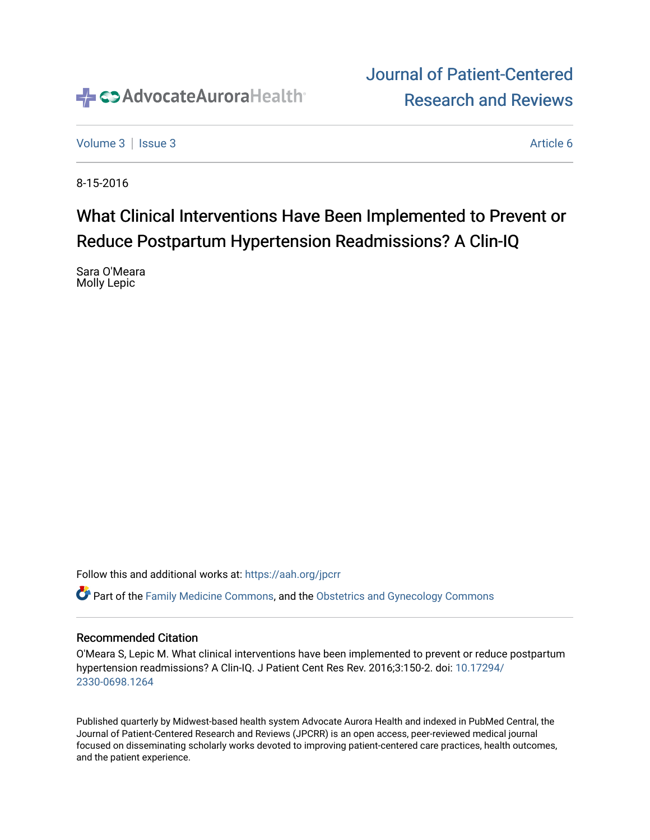

# [Journal of Patient-Centered](https://institutionalrepository.aah.org/jpcrr)  [Research and Reviews](https://institutionalrepository.aah.org/jpcrr)

[Volume 3](https://institutionalrepository.aah.org/jpcrr/vol3) | [Issue 3](https://institutionalrepository.aah.org/jpcrr/vol3/iss3) Article 6

8-15-2016

# What Clinical Interventions Have Been Implemented to Prevent or Reduce Postpartum Hypertension Readmissions? A Clin-IQ

Sara O'Meara Molly Lepic

Follow this and additional works at: [https://aah.org/jpcrr](https://institutionalrepository.aah.org/jpcrr?utm_source=institutionalrepository.aah.org%2Fjpcrr%2Fvol3%2Fiss3%2F6&utm_medium=PDF&utm_campaign=PDFCoverPages) 

Part of the [Family Medicine Commons](http://network.bepress.com/hgg/discipline/1354?utm_source=institutionalrepository.aah.org%2Fjpcrr%2Fvol3%2Fiss3%2F6&utm_medium=PDF&utm_campaign=PDFCoverPages), and the [Obstetrics and Gynecology Commons](http://network.bepress.com/hgg/discipline/693?utm_source=institutionalrepository.aah.org%2Fjpcrr%2Fvol3%2Fiss3%2F6&utm_medium=PDF&utm_campaign=PDFCoverPages) 

### Recommended Citation

O'Meara S, Lepic M. What clinical interventions have been implemented to prevent or reduce postpartum hypertension readmissions? A Clin-IQ. J Patient Cent Res Rev. 2016;3:150-2. doi: [10.17294/](http://dx.doi.org/10.17294/2330-0698.1264) [2330-0698.1264](http://dx.doi.org/10.17294/2330-0698.1264) 

Published quarterly by Midwest-based health system Advocate Aurora Health and indexed in PubMed Central, the Journal of Patient-Centered Research and Reviews (JPCRR) is an open access, peer-reviewed medical journal focused on disseminating scholarly works devoted to improving patient-centered care practices, health outcomes, and the patient experience.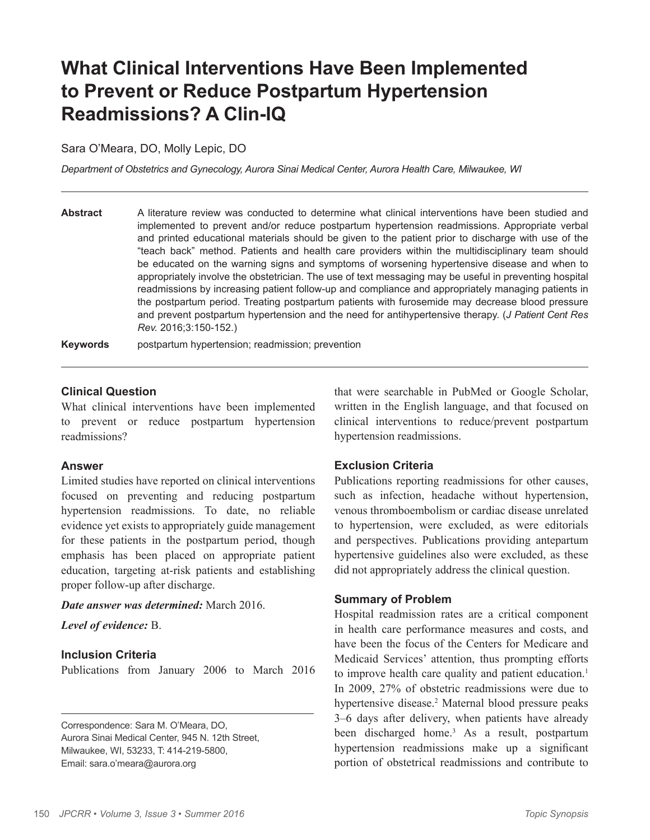# **What Clinical Interventions Have Been Implemented to Prevent or Reduce Postpartum Hypertension Readmissions? A Clin-IQ**

Sara O'Meara, DO, Molly Lepic, DO

*Department of Obstetrics and Gynecology, Aurora Sinai Medical Center, Aurora Health Care, Milwaukee, WI*

**Abstract** A literature review was conducted to determine what clinical interventions have been studied and implemented to prevent and/or reduce postpartum hypertension readmissions. Appropriate verbal and printed educational materials should be given to the patient prior to discharge with use of the "teach back" method. Patients and health care providers within the multidisciplinary team should be educated on the warning signs and symptoms of worsening hypertensive disease and when to appropriately involve the obstetrician. The use of text messaging may be useful in preventing hospital readmissions by increasing patient follow-up and compliance and appropriately managing patients in the postpartum period. Treating postpartum patients with furosemide may decrease blood pressure and prevent postpartum hypertension and the need for antihypertensive therapy. (*J Patient Cent Res Rev.* 2016;3:150-152.)

**Keywords** postpartum hypertension; readmission; prevention

### **Clinical Question**

What clinical interventions have been implemented to prevent or reduce postpartum hypertension readmissions?

#### **Answer**

Limited studies have reported on clinical interventions focused on preventing and reducing postpartum hypertension readmissions. To date, no reliable evidence yet exists to appropriately guide management for these patients in the postpartum period, though emphasis has been placed on appropriate patient education, targeting at-risk patients and establishing proper follow-up after discharge.

*Date answer was determined:* March 2016.

*Level of evidence:* B.

### **Inclusion Criteria**

Publications from January 2006 to March 2016

Correspondence: Sara M. O'Meara, DO, Aurora Sinai Medical Center, 945 N. 12th Street, Milwaukee, WI, 53233, T: 414-219-5800, Email: sara.o'meara@aurora.org

that were searchable in PubMed or Google Scholar, written in the English language, and that focused on clinical interventions to reduce/prevent postpartum hypertension readmissions.

### **Exclusion Criteria**

Publications reporting readmissions for other causes, such as infection, headache without hypertension, venous thromboembolism or cardiac disease unrelated to hypertension, were excluded, as were editorials and perspectives. Publications providing antepartum hypertensive guidelines also were excluded, as these did not appropriately address the clinical question.

### **Summary of Problem**

Hospital readmission rates are a critical component in health care performance measures and costs, and have been the focus of the Centers for Medicare and Medicaid Services' attention, thus prompting efforts to improve health care quality and patient education.<sup>1</sup> In 2009, 27% of obstetric readmissions were due to hypertensive disease.<sup>2</sup> Maternal blood pressure peaks 3–6 days after delivery, when patients have already been discharged home.<sup>3</sup> As a result, postpartum hypertension readmissions make up a significant portion of obstetrical readmissions and contribute to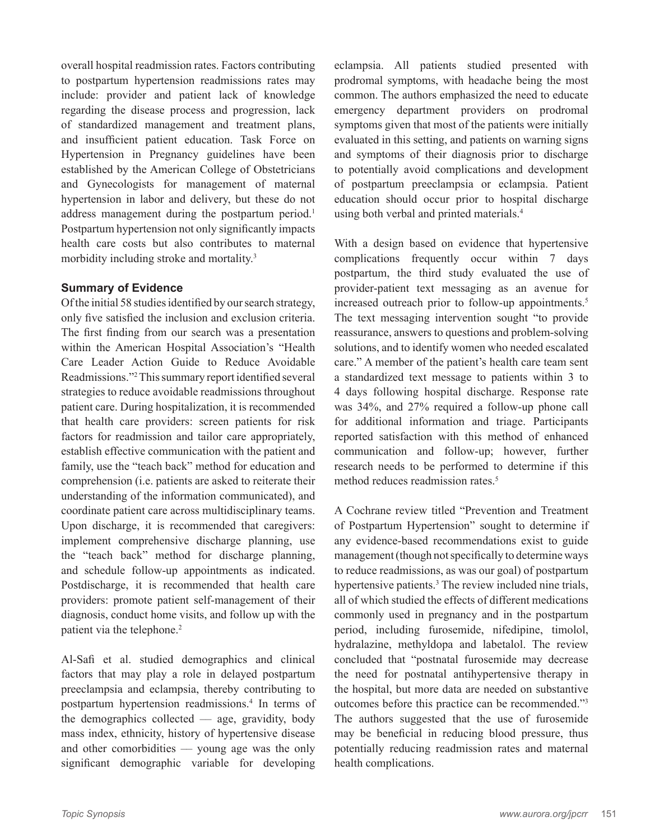overall hospital readmission rates. Factors contributing to postpartum hypertension readmissions rates may include: provider and patient lack of knowledge regarding the disease process and progression, lack of standardized management and treatment plans, and insufficient patient education. Task Force on Hypertension in Pregnancy guidelines have been established by the American College of Obstetricians and Gynecologists for management of maternal hypertension in labor and delivery, but these do not address management during the postpartum period.<sup>1</sup> Postpartum hypertension not only significantly impacts health care costs but also contributes to maternal morbidity including stroke and mortality.3

## **Summary of Evidence**

Of the initial 58 studies identified by our search strategy, only five satisfied the inclusion and exclusion criteria. The first finding from our search was a presentation within the American Hospital Association's "Health Care Leader Action Guide to Reduce Avoidable Readmissions."2 This summary report identified several strategies to reduce avoidable readmissions throughout patient care. During hospitalization, it is recommended that health care providers: screen patients for risk factors for readmission and tailor care appropriately, establish effective communication with the patient and family, use the "teach back" method for education and comprehension (i.e. patients are asked to reiterate their understanding of the information communicated), and coordinate patient care across multidisciplinary teams. Upon discharge, it is recommended that caregivers: implement comprehensive discharge planning, use the "teach back" method for discharge planning, and schedule follow-up appointments as indicated. Postdischarge, it is recommended that health care providers: promote patient self-management of their diagnosis, conduct home visits, and follow up with the patient via the telephone.<sup>2</sup>

Al-Safi et al. studied demographics and clinical factors that may play a role in delayed postpartum preeclampsia and eclampsia, thereby contributing to postpartum hypertension readmissions.4 In terms of the demographics collected  $-$  age, gravidity, body mass index, ethnicity, history of hypertensive disease and other comorbidities  $-$  young age was the only significant demographic variable for developing eclampsia. All patients studied presented with prodromal symptoms, with headache being the most common. The authors emphasized the need to educate emergency department providers on prodromal symptoms given that most of the patients were initially evaluated in this setting, and patients on warning signs and symptoms of their diagnosis prior to discharge to potentially avoid complications and development of postpartum preeclampsia or eclampsia. Patient education should occur prior to hospital discharge using both verbal and printed materials.4

With a design based on evidence that hypertensive complications frequently occur within 7 days postpartum, the third study evaluated the use of provider-patient text messaging as an avenue for increased outreach prior to follow-up appointments.<sup>5</sup> The text messaging intervention sought "to provide reassurance, answers to questions and problem-solving solutions, and to identify women who needed escalated care." A member of the patient's health care team sent a standardized text message to patients within 3 to 4 days following hospital discharge. Response rate was 34%, and 27% required a follow-up phone call for additional information and triage. Participants reported satisfaction with this method of enhanced communication and follow-up; however, further research needs to be performed to determine if this method reduces readmission rates.<sup>5</sup>

A Cochrane review titled "Prevention and Treatment of Postpartum Hypertension" sought to determine if any evidence-based recommendations exist to guide management (though not specifically to determine ways to reduce readmissions, as was our goal) of postpartum hypertensive patients.<sup>3</sup> The review included nine trials, all of which studied the effects of different medications commonly used in pregnancy and in the postpartum period, including furosemide, nifedipine, timolol, hydralazine, methyldopa and labetalol. The review concluded that "postnatal furosemide may decrease the need for postnatal antihypertensive therapy in the hospital, but more data are needed on substantive outcomes before this practice can be recommended."3 The authors suggested that the use of furosemide may be beneficial in reducing blood pressure, thus potentially reducing readmission rates and maternal health complications.